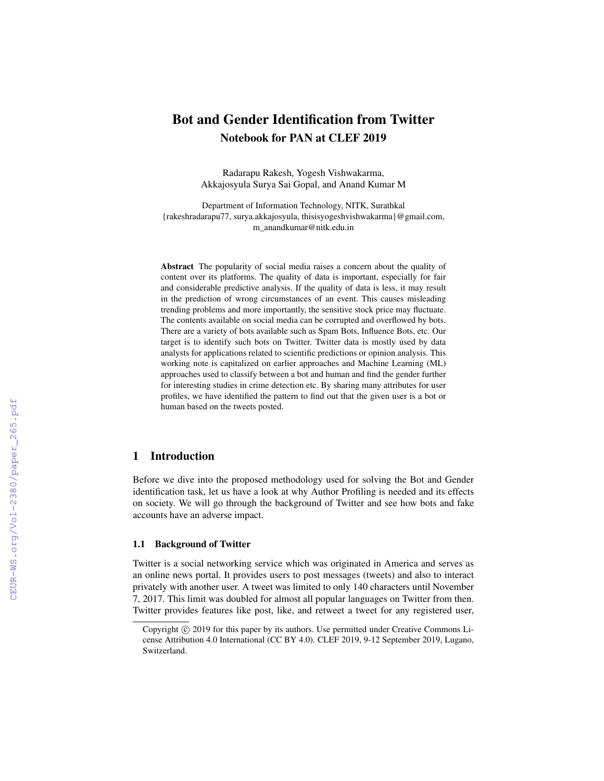# Bot and Gender Identification from Twitter Notebook for PAN at CLEF 2019

Radarapu Rakesh, Yogesh Vishwakarma, Akkajosyula Surya Sai Gopal, and Anand Kumar M

Department of Information Technology, NITK, Surathkal {rakeshradarapu77, surya.akkajosyula, thisisyogeshvishwakarma}@gmail.com, m\_anandkumar@nitk.edu.in

Abstract The popularity of social media raises a concern about the quality of content over its platforms. The quality of data is important, especially for fair and considerable predictive analysis. If the quality of data is less, it may result in the prediction of wrong circumstances of an event. This causes misleading trending problems and more importantly, the sensitive stock price may fluctuate. The contents available on social media can be corrupted and overflowed by bots. There are a variety of bots available such as Spam Bots, Influence Bots, etc. Our target is to identify such bots on Twitter. Twitter data is mostly used by data analysts for applications related to scientific predictions or opinion analysis. This working note is capitalized on earlier approaches and Machine Learning (ML) approaches used to classify between a bot and human and find the gender further for interesting studies in crime detection etc. By sharing many attributes for user profiles, we have identified the pattern to find out that the given user is a bot or human based on the tweets posted.

### 1 Introduction

Before we dive into the proposed methodology used for solving the Bot and Gender identification task, let us have a look at why Author Profiling is needed and its effects on society. We will go through the background of Twitter and see how bots and fake accounts have an adverse impact.

#### 1.1 Background of Twitter

Twitter is a social networking service which was originated in America and serves as an online news portal. It provides users to post messages (tweets) and also to interact privately with another user. A tweet was limited to only 140 characters until November 7, 2017. This limit was doubled for almost all popular languages on Twitter from then. Twitter provides features like post, like, and retweet a tweet for any registered user,

Copyright  $\odot$  2019 for this paper by its authors. Use permitted under Creative Commons License Attribution 4.0 International (CC BY 4.0). CLEF 2019, 9-12 September 2019, Lugano, Switzerland.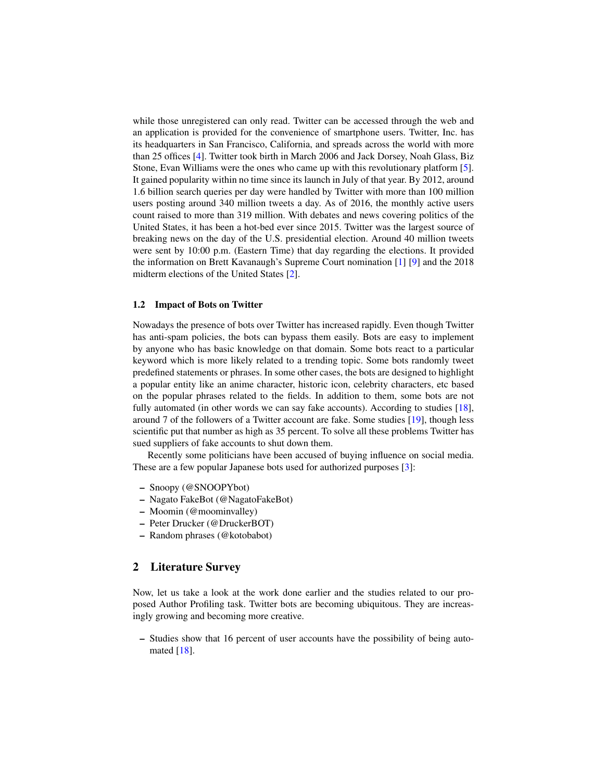while those unregistered can only read. Twitter can be accessed through the web and an application is provided for the convenience of smartphone users. Twitter, Inc. has its headquarters in San Francisco, California, and spreads across the world with more than 25 offices [\[4\]](#page-6-0). Twitter took birth in March 2006 and Jack Dorsey, Noah Glass, Biz Stone, Evan Williams were the ones who came up with this revolutionary platform [\[5\]](#page-6-1). It gained popularity within no time since its launch in July of that year. By 2012, around 1.6 billion search queries per day were handled by Twitter with more than 100 million users posting around 340 million tweets a day. As of 2016, the monthly active users count raised to more than 319 million. With debates and news covering politics of the United States, it has been a hot-bed ever since 2015. Twitter was the largest source of breaking news on the day of the U.S. presidential election. Around 40 million tweets were sent by 10:00 p.m. (Eastern Time) that day regarding the elections. It provided the information on Brett Kavanaugh's Supreme Court nomination [\[1\]](#page-6-2) [\[9\]](#page-6-3) and the 2018 midterm elections of the United States [\[2\]](#page-6-4).

#### 1.2 Impact of Bots on Twitter

Nowadays the presence of bots over Twitter has increased rapidly. Even though Twitter has anti-spam policies, the bots can bypass them easily. Bots are easy to implement by anyone who has basic knowledge on that domain. Some bots react to a particular keyword which is more likely related to a trending topic. Some bots randomly tweet predefined statements or phrases. In some other cases, the bots are designed to highlight a popular entity like an anime character, historic icon, celebrity characters, etc based on the popular phrases related to the fields. In addition to them, some bots are not fully automated (in other words we can say fake accounts). According to studies [\[18\]](#page-7-0), around 7 of the followers of a Twitter account are fake. Some studies [\[19\]](#page-7-1), though less scientific put that number as high as 35 percent. To solve all these problems Twitter has sued suppliers of fake accounts to shut down them.

Recently some politicians have been accused of buying influence on social media. These are a few popular Japanese bots used for authorized purposes [\[3\]](#page-6-5):

- Snoopy (@SNOOPYbot)
- Nagato FakeBot (@NagatoFakeBot)
- Moomin (@moominvalley)
- Peter Drucker (@DruckerBOT)
- Random phrases (@kotobabot)

### 2 Literature Survey

Now, let us take a look at the work done earlier and the studies related to our proposed Author Profiling task. Twitter bots are becoming ubiquitous. They are increasingly growing and becoming more creative.

– Studies show that 16 percent of user accounts have the possibility of being automated  $[18]$ .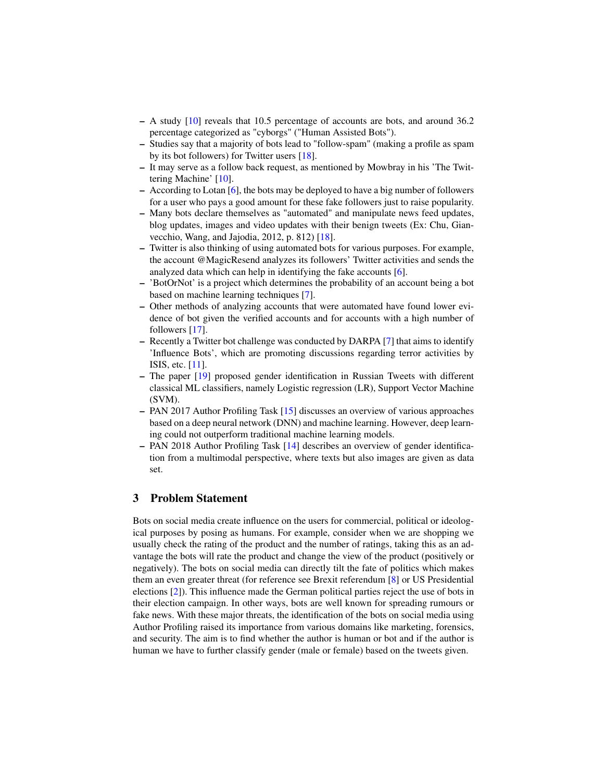- A study [\[10\]](#page-6-6) reveals that 10.5 percentage of accounts are bots, and around 36.2 percentage categorized as "cyborgs" ("Human Assisted Bots").
- Studies say that a majority of bots lead to "follow-spam" (making a profile as spam by its bot followers) for Twitter users [\[18\]](#page-7-0).
- It may serve as a follow back request, as mentioned by Mowbray in his 'The Twittering Machine' [\[10\]](#page-6-6).
- According to Lotan [\[6\]](#page-6-7), the bots may be deployed to have a big number of followers for a user who pays a good amount for these fake followers just to raise popularity.
- Many bots declare themselves as "automated" and manipulate news feed updates, blog updates, images and video updates with their benign tweets (Ex: Chu, Gianvecchio, Wang, and Jajodia, 2012, p. 812) [\[18\]](#page-7-0).
- Twitter is also thinking of using automated bots for various purposes. For example, the account @MagicResend analyzes its followers' Twitter activities and sends the analyzed data which can help in identifying the fake accounts [\[6\]](#page-6-7).
- 'BotOrNot' is a project which determines the probability of an account being a bot based on machine learning techniques [\[7\]](#page-6-8).
- Other methods of analyzing accounts that were automated have found lower evidence of bot given the verified accounts and for accounts with a high number of followers [\[17\]](#page-6-9).
- Recently a Twitter bot challenge was conducted by DARPA [\[7\]](#page-6-8) that aims to identify 'Influence Bots', which are promoting discussions regarding terror activities by ISIS, etc. [\[11\]](#page-6-10).
- The paper [\[19\]](#page-7-1) proposed gender identification in Russian Tweets with different classical ML classifiers, namely Logistic regression (LR), Support Vector Machine (SVM).
- PAN 2017 Author Profiling Task [\[15\]](#page-6-11) discusses an overview of various approaches based on a deep neural network (DNN) and machine learning. However, deep learning could not outperform traditional machine learning models.
- PAN 2018 Author Profiling Task [\[14\]](#page-6-12) describes an overview of gender identification from a multimodal perspective, where texts but also images are given as data set.

# 3 Problem Statement

Bots on social media create influence on the users for commercial, political or ideological purposes by posing as humans. For example, consider when we are shopping we usually check the rating of the product and the number of ratings, taking this as an advantage the bots will rate the product and change the view of the product (positively or negatively). The bots on social media can directly tilt the fate of politics which makes them an even greater threat (for reference see Brexit referendum [\[8\]](#page-6-13) or US Presidential elections [\[2\]](#page-6-4)). This influence made the German political parties reject the use of bots in their election campaign. In other ways, bots are well known for spreading rumours or fake news. With these major threats, the identification of the bots on social media using Author Profiling raised its importance from various domains like marketing, forensics, and security. The aim is to find whether the author is human or bot and if the author is human we have to further classify gender (male or female) based on the tweets given.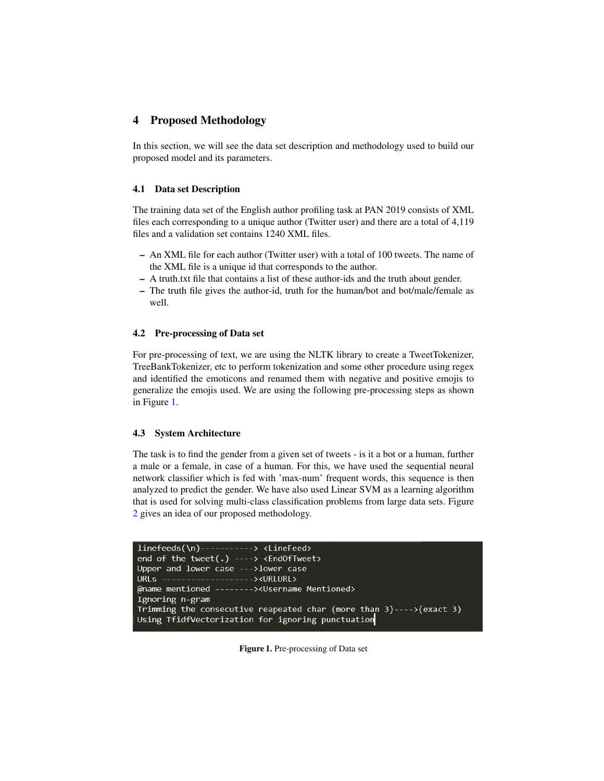### 4 Proposed Methodology

In this section, we will see the data set description and methodology used to build our proposed model and its parameters.

#### 4.1 Data set Description

The training data set of the English author profiling task at PAN 2019 consists of XML files each corresponding to a unique author (Twitter user) and there are a total of 4,119 files and a validation set contains 1240 XML files.

- An XML file for each author (Twitter user) with a total of 100 tweets. The name of the XML file is a unique id that corresponds to the author.
- A truth.txt file that contains a list of these author-ids and the truth about gender.
- The truth file gives the author-id, truth for the human/bot and bot/male/female as well.

#### <span id="page-3-1"></span>4.2 Pre-processing of Data set

For pre-processing of text, we are using the NLTK library to create a TweetTokenizer, TreeBankTokenizer, etc to perform tokenization and some other procedure using regex and identified the emoticons and renamed them with negative and positive emojis to generalize the emojis used. We are using the following pre-processing steps as shown in Figure [1.](#page-3-0)

#### 4.3 System Architecture

The task is to find the gender from a given set of tweets - is it a bot or a human, further a male or a female, in case of a human. For this, we have used the sequential neural network classifier which is fed with 'max-num' frequent words, this sequence is then analyzed to predict the gender. We have also used Linear SVM as a learning algorithm that is used for solving multi-class classification problems from large data sets. Figure [2](#page-4-0) gives an idea of our proposed methodology.

```
linefeeds(\n)-----------> <LineFeed>
end of the tweet(.) ----> <EndOfTweet>
Upper and lower case --->lower case
URLs --------------------><URLURL>
@name mentioned --------><Username Mentioned>
Ignoring n-gram
Trimming the consecutive reapeated char (more than 3)---->(exact 3)
Using TfidfVectorization for ignoring punctuation
```
<span id="page-3-0"></span>Figure 1. Pre-processing of Data set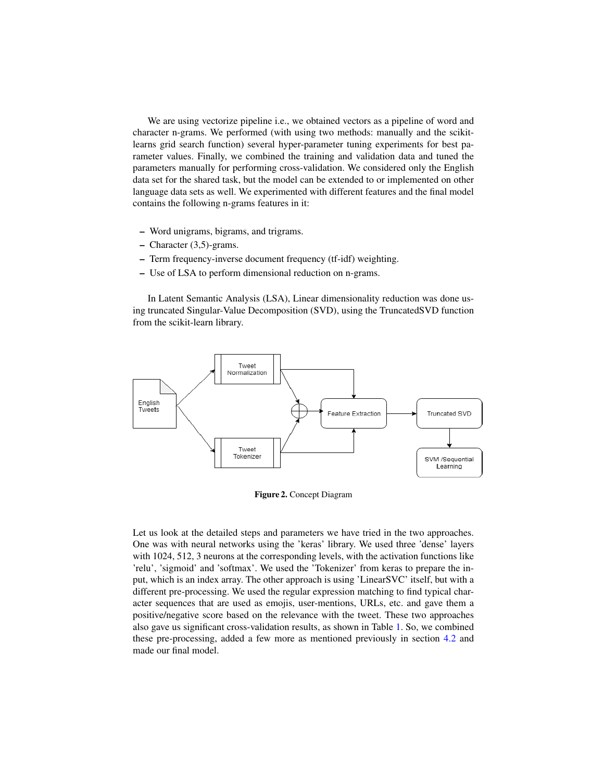We are using vectorize pipeline i.e., we obtained vectors as a pipeline of word and character n-grams. We performed (with using two methods: manually and the scikitlearns grid search function) several hyper-parameter tuning experiments for best parameter values. Finally, we combined the training and validation data and tuned the parameters manually for performing cross-validation. We considered only the English data set for the shared task, but the model can be extended to or implemented on other language data sets as well. We experimented with different features and the final model contains the following n-grams features in it:

- Word unigrams, bigrams, and trigrams.
- Character (3,5)-grams.
- Term frequency-inverse document frequency (tf-idf) weighting.
- Use of LSA to perform dimensional reduction on n-grams.

In Latent Semantic Analysis (LSA), Linear dimensionality reduction was done using truncated Singular-Value Decomposition (SVD), using the TruncatedSVD function from the scikit-learn library.



<span id="page-4-0"></span>Figure 2. Concept Diagram

Let us look at the detailed steps and parameters we have tried in the two approaches. One was with neural networks using the 'keras' library. We used three 'dense' layers with 1024, 512, 3 neurons at the corresponding levels, with the activation functions like 'relu', 'sigmoid' and 'softmax'. We used the 'Tokenizer' from keras to prepare the input, which is an index array. The other approach is using 'LinearSVC' itself, but with a different pre-processing. We used the regular expression matching to find typical character sequences that are used as emojis, user-mentions, URLs, etc. and gave them a positive/negative score based on the relevance with the tweet. These two approaches also gave us significant cross-validation results, as shown in Table [1.](#page-5-0) So, we combined these pre-processing, added a few more as mentioned previously in section [4.2](#page-3-1) and made our final model.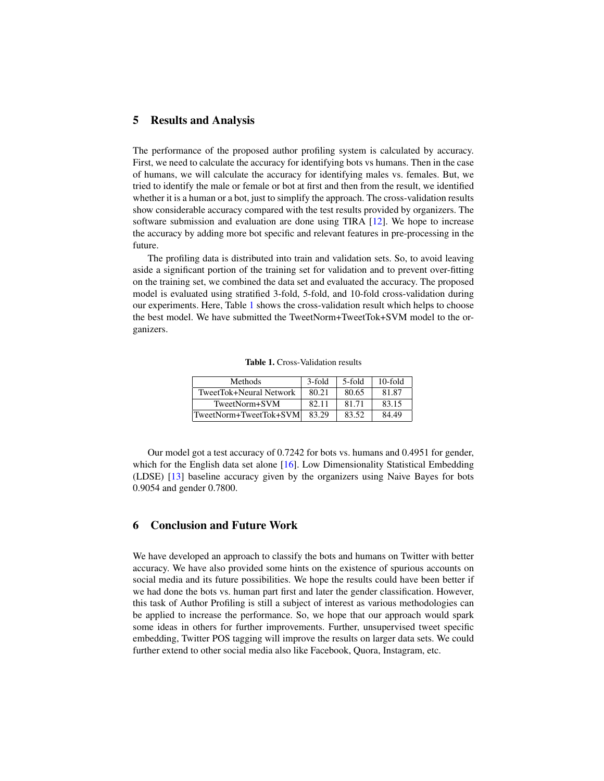### 5 Results and Analysis

The performance of the proposed author profiling system is calculated by accuracy. First, we need to calculate the accuracy for identifying bots vs humans. Then in the case of humans, we will calculate the accuracy for identifying males vs. females. But, we tried to identify the male or female or bot at first and then from the result, we identified whether it is a human or a bot, just to simplify the approach. The cross-validation results show considerable accuracy compared with the test results provided by organizers. The software submission and evaluation are done using TIRA [\[12\]](#page-6-14). We hope to increase the accuracy by adding more bot specific and relevant features in pre-processing in the future.

The profiling data is distributed into train and validation sets. So, to avoid leaving aside a significant portion of the training set for validation and to prevent over-fitting on the training set, we combined the data set and evaluated the accuracy. The proposed model is evaluated using stratified 3-fold, 5-fold, and 10-fold cross-validation during our experiments. Here, Table [1](#page-5-0) shows the cross-validation result which helps to choose the best model. We have submitted the TweetNorm+TweetTok+SVM model to the organizers.

<span id="page-5-0"></span>Table 1. Cross-Validation results

| <b>Methods</b>          | 3-fold | 5-fold | $10$ -fold |
|-------------------------|--------|--------|------------|
| TweetTok+Neural Network | 80.21  | 80.65  | 81.87      |
| TweetNorm+SVM           | 82.11  | 81.71  | 83.15      |
| TweetNorm+TweetTok+SVM  | 83.29  | 83.52  | 84.49      |

Our model got a test accuracy of 0.7242 for bots vs. humans and 0.4951 for gender, which for the English data set alone [\[16\]](#page-6-15). Low Dimensionality Statistical Embedding (LDSE) [\[13\]](#page-6-16) baseline accuracy given by the organizers using Naive Bayes for bots 0.9054 and gender 0.7800.

# 6 Conclusion and Future Work

We have developed an approach to classify the bots and humans on Twitter with better accuracy. We have also provided some hints on the existence of spurious accounts on social media and its future possibilities. We hope the results could have been better if we had done the bots vs. human part first and later the gender classification. However, this task of Author Profiling is still a subject of interest as various methodologies can be applied to increase the performance. So, we hope that our approach would spark some ideas in others for further improvements. Further, unsupervised tweet specific embedding, Twitter POS tagging will improve the results on larger data sets. We could further extend to other social media also like Facebook, Quora, Instagram, etc.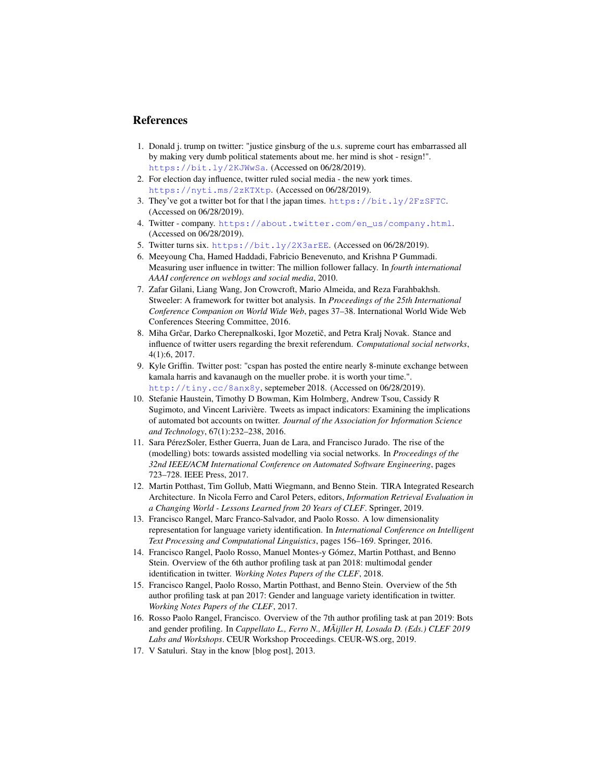### References

- <span id="page-6-2"></span>1. Donald j. trump on twitter: "justice ginsburg of the u.s. supreme court has embarrassed all by making very dumb political statements about me. her mind is shot - resign!". <https://bit.ly/2KJWwSa>. (Accessed on 06/28/2019).
- <span id="page-6-4"></span>2. For election day influence, twitter ruled social media - the new york times. <https://nyti.ms/2zKTXtp>. (Accessed on 06/28/2019).
- <span id="page-6-5"></span>3. They've got a twitter bot for that | the japan times. <https://bit.ly/2FzSFTC>. (Accessed on 06/28/2019).
- <span id="page-6-0"></span>4. Twitter - company. [https://about.twitter.com/en\\_us/company.html](https://about.twitter.com/en_us/company.html). (Accessed on 06/28/2019).
- <span id="page-6-1"></span>5. Twitter turns six. <https://bit.ly/2X3arEE>. (Accessed on 06/28/2019).
- <span id="page-6-7"></span>6. Meeyoung Cha, Hamed Haddadi, Fabricio Benevenuto, and Krishna P Gummadi. Measuring user influence in twitter: The million follower fallacy. In *fourth international AAAI conference on weblogs and social media*, 2010.
- <span id="page-6-8"></span>7. Zafar Gilani, Liang Wang, Jon Crowcroft, Mario Almeida, and Reza Farahbakhsh. Stweeler: A framework for twitter bot analysis. In *Proceedings of the 25th International Conference Companion on World Wide Web*, pages 37–38. International World Wide Web Conferences Steering Committee, 2016.
- <span id="page-6-13"></span>8. Miha Grčar, Darko Cherepnalkoski, Igor Mozetič, and Petra Kralj Novak. Stance and influence of twitter users regarding the brexit referendum. *Computational social networks*, 4(1):6, 2017.
- <span id="page-6-3"></span>9. Kyle Griffin. Twitter post: "cspan has posted the entire nearly 8-minute exchange between kamala harris and kavanaugh on the mueller probe. it is worth your time.". <http://tiny.cc/8anx8y>, septemeber 2018. (Accessed on 06/28/2019).
- <span id="page-6-6"></span>10. Stefanie Haustein, Timothy D Bowman, Kim Holmberg, Andrew Tsou, Cassidy R Sugimoto, and Vincent Larivière. Tweets as impact indicators: Examining the implications of automated bot accounts on twitter. *Journal of the Association for Information Science and Technology*, 67(1):232–238, 2016.
- <span id="page-6-10"></span>11. Sara PérezSoler, Esther Guerra, Juan de Lara, and Francisco Jurado. The rise of the (modelling) bots: towards assisted modelling via social networks. In *Proceedings of the 32nd IEEE/ACM International Conference on Automated Software Engineering*, pages 723–728. IEEE Press, 2017.
- <span id="page-6-14"></span>12. Martin Potthast, Tim Gollub, Matti Wiegmann, and Benno Stein. TIRA Integrated Research Architecture. In Nicola Ferro and Carol Peters, editors, *Information Retrieval Evaluation in a Changing World - Lessons Learned from 20 Years of CLEF*. Springer, 2019.
- <span id="page-6-16"></span>13. Francisco Rangel, Marc Franco-Salvador, and Paolo Rosso. A low dimensionality representation for language variety identification. In *International Conference on Intelligent Text Processing and Computational Linguistics*, pages 156–169. Springer, 2016.
- <span id="page-6-12"></span>14. Francisco Rangel, Paolo Rosso, Manuel Montes-y Gómez, Martin Potthast, and Benno Stein. Overview of the 6th author profiling task at pan 2018: multimodal gender identification in twitter. *Working Notes Papers of the CLEF*, 2018.
- <span id="page-6-11"></span>15. Francisco Rangel, Paolo Rosso, Martin Potthast, and Benno Stein. Overview of the 5th author profiling task at pan 2017: Gender and language variety identification in twitter. *Working Notes Papers of the CLEF*, 2017.
- <span id="page-6-15"></span>16. Rosso Paolo Rangel, Francisco. Overview of the 7th author profiling task at pan 2019: Bots and gender profiling. In *Cappellato L., Ferro N., MÃijller H, Losada D. (Eds.) CLEF 2019 Labs and Workshops*. CEUR Workshop Proceedings. CEUR-WS.org, 2019.
- <span id="page-6-9"></span>17. V Satuluri. Stay in the know [blog post], 2013.